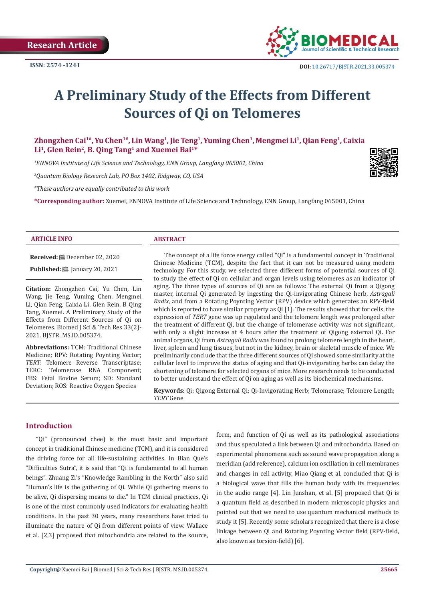

# **A Preliminary Study of the Effects from Different Sources of Qi on Telomeres**

Zhongzhen Cai<sup>1#</sup>, Yu Chen<sup>1#</sup>, Lin Wang<sup>1</sup>, Jie Teng<sup>1</sup>, Yuming Chen<sup>1</sup>, Mengmei Li<sup>1</sup>, Qian Feng<sup>1</sup>, Caixia **Li1, Glen Rein2, B. Qing Tang1 and Xuemei Bai1\***

*1 ENNOVA Institute of Life Science and Technology, ENN Group, Langfang 065001, China*

*2 Quantum Biology Research Lab, PO Box 1402, Ridgway, CO, USA*

*#These authors are equally contributed to this work*

**\*Corresponding author:** Xuemei, ENNOVA Institute of Life Science and Technology, ENN Group, Langfang 065001, China

#### **ARTICLE INFO ABSTRACT**

**Received:** December 02, 2020

**Published: <u>Department</u> January 20, 2021** 

**Citation:** Zhongzhen Cai, Yu Chen, Lin Wang, Jie Teng, Yuming Chen, Mengmei Li, Qian Feng, Caixia Li, Glen Rein, B Qing Tang, Xuemei. A Preliminary Study of the Effects from Different Sources of Qi on Telomeres. Biomed J Sci & Tech Res 33(2)- 2021. BJSTR. MS.ID.005374.

**Abbreviations:** TCM: Traditional Chinese Medicine; RPV: Rotating Poynting Vector; *TERT*: Telomere Reverse Transcriptase; TERC: Telomerase RNA Component; FBS: Fetal Bovine Serum; SD: Standard Deviation; ROS: Reactive Oxygen Species

The concept of a life force energy called "Qi" is a fundamental concept in Traditional Chinese Medicine (TCM), despite the fact that it can not be measured using modern technology. For this study, we selected three different forms of potential sources of Qi to study the effect of Qi on cellular and organ levels using telomeres as an indicator of aging. The three types of sources of Qi are as follows: The external Qi from a Qigong master, internal Qi generated by ingesting the Qi-invigorating Chinese herb, *Astragali Radix*, and from a Rotating Poynting Vector (RPV) device which generates an RPV-field which is reported to have similar property as Qi [1]. The results showed that for cells, the expression of *TERT* gene was up regulated and the telomere length was prolonged after the treatment of different Qi, but the change of telomerase activity was not significant, with only a slight increase at 4 hours after the treatment of Qigong external Qi. For animal organs, Qi from *Astragali Radix* was found to prolong telomere length in the heart, liver, spleen and lung tissues, but not in the kidney, brain or skeletal muscle of mice. We preliminarily conclude that the three different sources of Qi showed some similarity at the cellular level to improve the status of aging and that Qi-invigorating herbs can delay the shortening of telomere for selected organs of mice. More research needs to be conducted to better understand the effect of Qi on aging as well as its biochemical mechanisms.

**Keywords**: Qi; Qigong External Qi; Qi-Invigorating Herb; Telomerase; Telomere Length; *TERT* Gene

#### **Introduction**

"Qi" (pronounced chee) is the most basic and important concept in traditional Chinese medicine (TCM), and it is considered the driving force for all life-sustaining activities. In Bian Que's "Difficulties Sutra", it is said that "Qi is fundamental to all human beings". Zhuang Zi's "Knowledge Rambling in the North" also said "Human's life is the gathering of Qi. While Qi gathering means to be alive, Qi dispersing means to die." In TCM clinical practices, Qi is one of the most commonly used indicators for evaluating health conditions. In the past 30 years, many researchers have tried to illuminate the nature of Qi from different points of view. Wallace et al. [2,3] proposed that mitochondria are related to the source,

form, and function of Qi as well as its pathological associations and thus speculated a link between Qi and mitochondria. Based on experimental phenomena such as sound wave propagation along a meridian (add reference), calcium ion oscillation in cell membranes and changes in cell activity, Miao Qiang et al. concluded that Qi is a biological wave that fills the human body with its frequencies in the audio range [4]. Lin Junshan, et al. [5] proposed that Qi is a quantum field as described in modern microscopic physics and pointed out that we need to use quantum mechanical methods to study it [5]. Recently some scholars recognized that there is a close linkage between Qi and Rotating Poynting Vector field (RPV-field, also known as torsion-field) [6].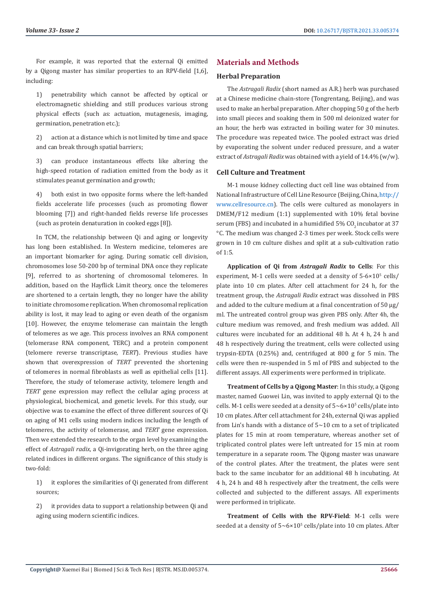For example, it was reported that the external Qi emitted by a Qigong master has similar properties to an RPV-field [1,6], including:

1) penetrability which cannot be affected by optical or electromagnetic shielding and still produces various strong physical effects (such as: actuation, mutagenesis, imaging, germination, penetration etc.);

2) action at a distance which is not limited by time and space and can break through spatial barriers;

3) can produce instantaneous effects like altering the high-speed rotation of radiation emitted from the body as it stimulates peanut germination and growth;

4) both exist in two opposite forms where the left-handed fields accelerate life processes (such as promoting flower blooming [7]) and right-handed fields reverse life processes (such as protein denaturation in cooked eggs [8]).

In TCM, the relationship between Qi and aging or longevity has long been established. In Western medicine, telomeres are an important biomarker for aging. During somatic cell division, chromosomes lose 50-200 bp of terminal DNA once they replicate [9], referred to as shortening of chromosomal telomeres. In addition, based on the Hayflick Limit theory, once the telomeres are shortened to a certain length, they no longer have the ability to initiate chromosome replication. When chromosomal replication ability is lost, it may lead to aging or even death of the organism [10]. However, the enzyme telomerase can maintain the length of telomeres as we age. This process involves an RNA component (telomerase RNA component, TERC) and a protein component (telomere reverse transcriptase, *TERT*). Previous studies have shown that overexpression of *TERT* prevented the shortening of telomeres in normal fibroblasts as well as epithelial cells [11]. Therefore, the study of telomerase activity, telomere length and *TERT* gene expression may reflect the cellular aging process at physiological, biochemical, and genetic levels. For this study, our objective was to examine the effect of three different sources of Qi on aging of M1 cells using modern indices including the length of telomeres, the activity of telomerase, and *TERT* gene expression. Then we extended the research to the organ level by examining the effect of *Astragali radix*, a Qi-invigorating herb, on the three aging related indices in different organs. The significance of this study is two-fold:

1) it explores the similarities of Qi generated from different sources;

2) it provides data to support a relationship between Qi and aging using modern scientific indices.

# **Materials and Methods**

#### **Herbal Preparation**

The *Astragali Radix* (short named as A.R.) herb was purchased at a Chinese medicine chain-store (Tongrentang, Beijing), and was used to make an herbal preparation. After chopping 50 g of the herb into small pieces and soaking them in 500 ml deionized water for an hour, the herb was extracted in boiling water for 30 minutes. The procedure was repeated twice. The pooled extract was dried by evaporating the solvent under reduced pressure, and a water extract of *Astragali Radix* was obtained with a yield of 14.4% (w/w).

#### **Cell Culture and Treatment**

M-1 mouse kidney collecting duct cell line was obtained from National Infrastructure of Cell Line Resource (Beijing, China, [http://](http://www.cellresource.cn) [www.cellresource.cn](http://www.cellresource.cn)). The cells were cultured as monolayers in DMEM/F12 medium (1:1) supplemented with 10% fetal bovine serum (FBS) and incubated in a humidified 5% CO<sub>2</sub> incubator at 37 °C. The medium was changed 2-3 times per week. Stock cells were grown in 10 cm culture dishes and split at a sub-cultivation ratio of 1:5.

**Application of Qi from** *Astragali Radix* **to Cells**: For this experiment, M-1 cells were seeded at a density of  $5\textrm{-}6\times10^5$  cells/ plate into 10 cm plates. After cell attachment for 24 h, for the treatment group, the *Astragali Radix* extract was dissolved in PBS and added to the culture medium at a final concentration of 50 μg/ ml. The untreated control group was given PBS only. After 4h, the culture medium was removed, and fresh medium was added. All cultures were incubated for an additional 48 h. At 4 h, 24 h and 48 h respectively during the treatment, cells were collected using trypsin-EDTA (0.25%) and, centrifuged at 800 g for 5 min. The cells were then re-suspended in 5 ml of PBS and subjected to the different assays. All experiments were performed in triplicate.

**Treatment of Cells by a Qigong Master**: In this study, a Qigong master, named Guowei Lin, was invited to apply external Qi to the cells. M-1 cells were seeded at a density of  $5{\sim}6{\times}10^5$  cells/plate into 10 cm plates. After cell attachment for 24h, external Qi was applied from Lin's hands with a distance of  $5 \sim 10$  cm to a set of triplicated plates for 15 min at room temperature, whereas another set of triplicated control plates were left untreated for 15 min at room temperature in a separate room. The Qigong master was unaware of the control plates. After the treatment, the plates were sent back to the same incubator for an additional 48 h incubating. At 4 h, 24 h and 48 h respectively after the treatment, the cells were collected and subjected to the different assays. All experiments were performed in triplicate.

**Treatment of Cells with the RPV-Field**: M-1 cells were seeded at a density of  $5 \sim 6 \times 10^5$  cells/plate into 10 cm plates. After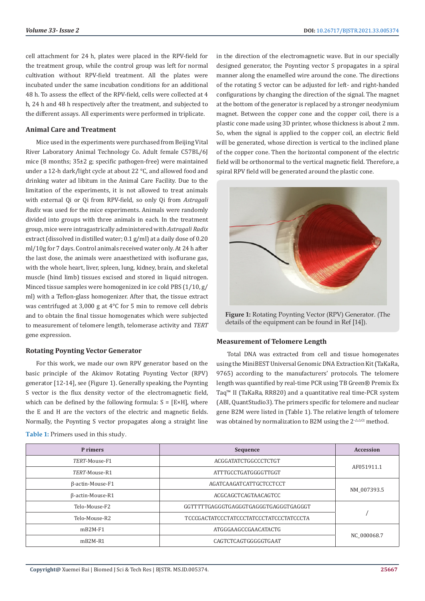cell attachment for 24 h, plates were placed in the RPV-field for the treatment group, while the control group was left for normal cultivation without RPV-field treatment. All the plates were incubated under the same incubation conditions for an additional 48 h. To assess the effect of the RPV-field, cells were collected at 4 h, 24 h and 48 h respectively after the treatment, and subjected to the different assays. All experiments were performed in triplicate.

#### **Animal Care and Treatment**

Mice used in the experiments were purchased from Beijing Vital River Laboratory Animal Technology Co. Adult female C57BL/6J mice (8 months; 35±2 g; specific pathogen-free) were maintained under a 12-h dark/light cycle at about 22 °C, and allowed food and drinking water ad libitum in the Animal Care Facility. Due to the limitation of the experiments, it is not allowed to treat animals with external Qi or Qi from RPV-field, so only Qi from *Astragali Radix* was used for the mice experiments. Animals were randomly divided into groups with three animals in each. In the treatment group, mice were intragastrically administered with *Astragali Radix*  extract (dissolved in distilled water; 0.1 g/ml) at a daily dose of 0.20 ml/10g for 7 days. Control animals received water only. At 24 h after the last dose, the animals were anaesthetized with isoflurane gas, with the whole heart, liver, spleen, lung, kidney, brain, and skeletal muscle (hind limb) tissues excised and stored in liquid nitrogen. Minced tissue samples were homogenized in ice cold PBS (1/10, g/ ml) with a Teflon-glass homogenizer. After that, the tissue extract was centrifuged at 3,000 g at 4°C for 5 min to remove cell debris and to obtain the final tissue homogenates which were subjected to measurement of telomere length, telomerase activity and *TERT* gene expression.

#### **Rotating Poynting Vector Generator**

For this work, we made our own RPV generator based on the basic principle of the Akimov Rotating Poynting Vector (RPV) generator [12-14], see (Figure 1). Generally speaking, the Poynting S vector is the flux density vector of the electromagnetic field, which can be defined by the following formula:  $S = [E \times H]$ , where the E and H are the vectors of the electric and magnetic fields. Normally, the Poynting S vector propagates along a straight line

| <b>Table 1:</b> Primers used in this study. |  |  |
|---------------------------------------------|--|--|
|---------------------------------------------|--|--|

in the direction of the electromagnetic wave. But in our specially designed generator, the Poynting vector S propagates in a spiral manner along the enamelled wire around the cone. The directions of the rotating S vector can be adjusted for left- and right-handed configurations by changing the direction of the signal. The magnet at the bottom of the generator is replaced by a stronger neodymium magnet. Between the copper cone and the copper coil, there is a plastic cone made using 3D printer, whose thickness is about 2 mm. So, when the signal is applied to the copper coil, an electric field will be generated, whose direction is vertical to the inclined plane of the copper cone. Then the horizontal component of the electric field will be orthonormal to the vertical magnetic field. Therefore, a spiral RPV field will be generated around the plastic cone.



**Figure 1:** Rotating Poynting Vector (RPV) Generator. (The details of the equipment can be found in Ref [14]).

#### **Measurement of Telomere Length**

Total DNA was extracted from cell and tissue homogenates using the MiniBEST Universal Genomic DNA Extraction Kit (TaKaRa, 9765) according to the manufacturers' protocols. The telomere length was quantified by real-time PCR using TB Green® Premix Ex Taq™ II (TaKaRa, RR820) and a quantitative real time-PCR system (ABI, QuantStudio3). The primers specific for telomere and nuclear gene B2M were listed in (Table 1). The relative length of telomere was obtained by normalization to B2M using the  $2^{\Delta\Delta\text{Ct}}$  method.

| P rimers         | Sequence                                | <b>Accession</b> |  |
|------------------|-----------------------------------------|------------------|--|
| TERT-Mouse-F1    | ACGGATATCTGGCCCTCTGT                    |                  |  |
| TERT-Mouse-R1    | ATTTGCCTGATGGGGTTGGT                    | AF051911.1       |  |
| β-actin-Mouse-F1 | AGATCAAGATCATTGCTCCTCCT                 | NM 007393.5      |  |
| β-actin-Mouse-R1 | ACGCAGCTCAGTAACAGTCC                    |                  |  |
| Telo-Mouse-F2    | GGTTTTTGAGGGTGAGGGTGAGGGTGAGGGTGAGGGT   |                  |  |
| Telo-Mouse-R2    | TCCCGACTATCCCTATCCCTATCCCTATCCCTATCCCTA |                  |  |
| $mB2M-F1$        | ATGGGAAGCCGAACATACTG                    | NC 000068.7      |  |
| $mB2M-RI$        | CAGTCTCAGTGGGGGTGAAT                    |                  |  |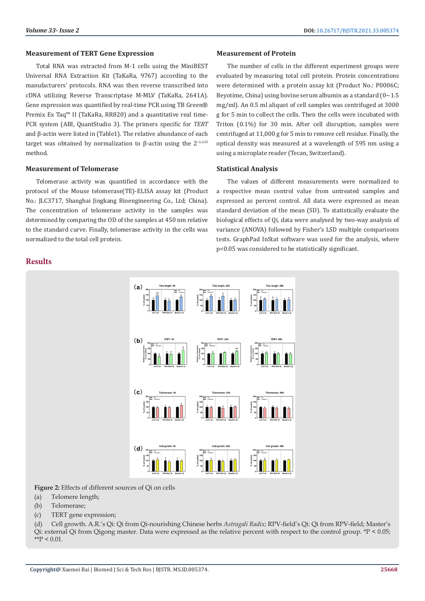#### **Measurement of TERT Gene Expression**

Total RNA was extracted from M-1 cells using the MiniBEST Universal RNA Extraction Kit (TaKaRa, 9767) according to the manufacturers' protocols. RNA was then reverse transcribed into cDNA utilizing Reverse Transcriptase M-MLV (TaKaRa, 2641A). Gene expression was quantified by real-time PCR using TB Green® Premix Ex Taq<sup>™</sup> II (TaKaRa, RR820) and a quantitative real time-PCR system (ABI, QuantStudio 3). The primers specific for *TERT* and β-actin were listed in (Table1). The relative abundance of each target was obtained by normalization to β-actin using the  $2^{-\Delta\Delta Ct}$ method.

#### **Measurement of Telomerase**

Telomerase activity was quantified in accordance with the protocol of the Mouse telomerase(TE)-ELISA assay kit (Product No.: JLC3717, Shanghai Jingkang Bioengineering Co., Ltd; China). The concentration of telomerase activity in the samples was determined by comparing the OD of the samples at 450 nm relative to the standard curve. Finally, telomerase activity in the cells was normalized to the total cell protein.

# **Results**

#### **Measurement of Protein**

The number of cells in the different experiment groups were evaluated by measuring total cell protein. Protein concentrations were determined with a protein assay kit (Product No.: P0006C; Beyotime, China) using bovine serum albumin as a standard  $(0 \sim 1.5)$ mg/ml). An 0.5 ml aliquot of cell samples was centrifuged at 3000 g for 5 min to collect the cells. Then the cells were incubated with Triton (0.1%) for 30 min. After cell disruption, samples were centrifuged at 11,000 g for 5 min to remove cell residue. Finally, the optical density was measured at a wavelength of 595 nm using a using a microplate reader (Tecan, Switzerland).

### **Statistical Analysis**

The values of different measurements were normalized to a respective mean control value from untreated samples and expressed as percent control. All data were expressed as mean standard deviation of the mean (SD). To statistically evaluate the biological effects of Qi, data were analysed by two-way analysis of variance (ANOVA) followed by Fisher's LSD multiple comparisons tests. GraphPad InStat software was used for the analysis, where p<0.05 was considered to be statistically significant.



Figure 2: Effects of different sources of Qi on cells

- (a) Telomere length;
- (b) Telomerase;
- (c) TERT gene expression;

(d) Cell growth. A.R.'s Qi: Qi from Qi-nourishing Chinese herbs *Astragali Radix*; RPV-field's Qi: Qi from RPV-field; Master's Qi: external Qi from Qigong master. Data were expressed as the relative percent with respect to the control group. \*P < 0.05;  $*$  $P < 0.01$ .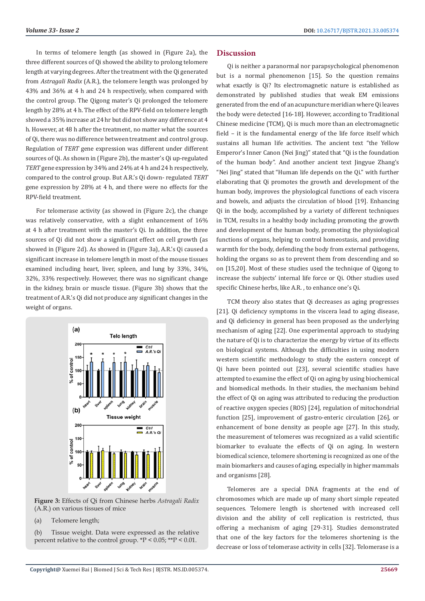In terms of telomere length (as showed in (Figure 2a), the three different sources of Qi showed the ability to prolong telomere length at varying degrees. After the treatment with the Qi generated from *Astragali Radix* (A.R.), the telomere length was prolonged by 43% and 36% at 4 h and 24 h respectively, when compared with the control group. The Qigong mater's Qi prolonged the telomere length by 28% at 4 h. The effect of the RPV-field on telomere length showed a 35% increase at 24 hr but did not show any difference at 4 h. However, at 48 h after the treatment, no matter what the sources of Qi, there was no difference between treatment and control group. Regulation of *TERT* gene expression was different under different sources of Qi. As shown in (Figure 2b), the master's Qi up-regulated *TERT* gene expression by 34% and 24% at 4 h and 24 h respectively, compared to the control group. But A.R.'s Qi down- regulated *TERT* gene expression by 28% at 4 h, and there were no effects for the RPV-field treatment.

For telomerase activity (as showed in (Figure 2c), the change was relatively conservative, with a slight enhancement of 16% at 4 h after treatment with the master's Qi. In addition, the three sources of Qi did not show a significant effect on cell growth (as showed in (Figure 2d). As showed in (Figure 3a), A.R.'s Qi caused a significant increase in telomere length in most of the mouse tissues examined including heart, liver, spleen, and lung by 33%, 34%, 32%, 33% respectively. However, there was no significant change in the kidney, brain or muscle tissue. (Figure 3b) shows that the treatment of A.R.'s Qi did not produce any significant changes in the weight of organs.



**Figure 3:** Effects of Qi from Chinese herbs *Astragali Radix*  (A.R.) on various tissues of mice



(b) Tissue weight. Data were expressed as the relative percent relative to the control group. \*P < 0.05; \*\*P < 0.01.

# **Discussion**

Qi is neither a paranormal nor parapsychological phenomenon but is a normal phenomenon [15]. So the question remains what exactly is Qi? Its electromagnetic nature is established as demonstrated by published studies that weak EM emissions generated from the end of an acupuncture meridian where Qi leaves the body were detected [16-18]. However, according to Traditional Chinese medicine (TCM), Qi is much more than an electromagnetic field – it is the fundamental energy of the life force itself which sustains all human life activities. The ancient text "the Yellow Emperor's Inner Canon (Nei Jing)" stated that "Qi is the foundation of the human body". And another ancient text Jingyue Zhang's "Nei Jing" stated that "Human life depends on the Qi." with further elaborating that Qi promotes the growth and development of the human body, improves the physiological functions of each viscera and bowels, and adjusts the circulation of blood [19]. Enhancing Qi in the body, accomplished by a variety of different techniques in TCM, results in a healthy body including promoting the growth and development of the human body, promoting the physiological functions of organs, helping to control homeostasis, and providing warmth for the body, defending the body from external pathogens, holding the organs so as to prevent them from descending and so on [15,20]. Most of these studies used the technique of Qigong to increase the subjects' internal life force or Qi. Other studies used specific Chinese herbs, like A.R. , to enhance one's Qi.

TCM theory also states that Qi decreases as aging progresses [21]. Qi deficiency symptoms in the viscera lead to aging disease, and Qi deficiency in general has been proposed as the underlying mechanism of aging [22]. One experimental approach to studying the nature of Qi is to characterize the energy by virtue of its effects on biological systems. Although the difficulties in using modern western scientific methodology to study the eastern concept of Qi have been pointed out [23], several scientific studies have attempted to examine the effect of Qi on aging by using biochemical and biomedical methods. In their studies, the mechanism behind the effect of Qi on aging was attributed to reducing the production of reactive oxygen species (ROS) [24], regulation of mitochondrial function [25], improvement of gastro-enteric circulation [26], or enhancement of bone density as people age [27]. In this study, the measurement of telomeres was recognized as a valid scientific biomarker to evaluate the effects of Qi on aging. In western biomedical science, telomere shortening is recognized as one of the main biomarkers and causes of aging, especially in higher mammals and organisms [28].

Telomeres are a special DNA fragments at the end of chromosomes which are made up of many short simple repeated sequences. Telomere length is shortened with increased cell division and the ability of cell replication is restricted, thus offering a mechanism of aging [29-31]. Studies demonstrated that one of the key factors for the telomeres shortening is the decrease or loss of telomerase activity in cells [32]. Telomerase is a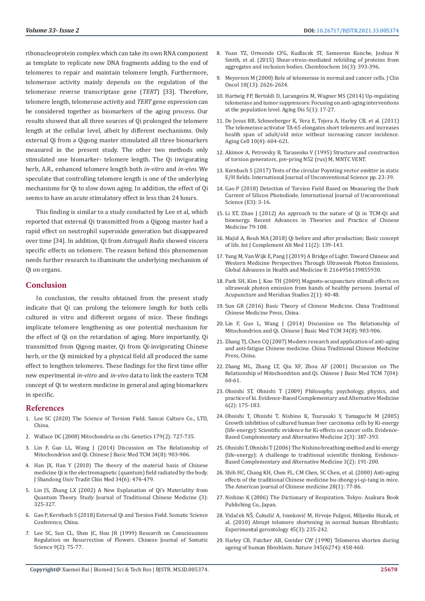ribonucleoprotein complex which can take its own RNA component as template to replicate new DNA fragments adding to the end of telomeres to repair and maintain telomere length. Furthermore, telomerase activity mainly depends on the regulation of the telomerase reverse transcriptase gene (*TERT*) [33]. Therefore, telomere length, telomerase activity and *TERT* gene expression can be considered together as biomarkers of the aging process. Our results showed that all three sources of Qi prolonged the telomere length at the cellular level, albeit by different mechanisms. Only external Qi from a Qigong master stimulated all three biomarkers measured in the present study. The other two methods only stimulated one biomarker- telomere length. The Qi invigorating herb, A.R., enhanced telomere length both *in-vitro* and *in-vivo*. We speculate that controlling telomere length is one of the underlying mechanisms for Qi to slow down aging. In addition, the effect of Qi seems to have an acute stimulatory effect in less than 24 hours.

This finding is similar to a study conducted by Lee et al, which reported that external Qi transmitted from a Qigong master had a rapid effect on neutrophil superoxide generation but disappeared over time [34]. In addition, Qi from *Astragali Radix* showed viscera specific effects on telomere. The reason behind this phenomenon needs further research to illuminate the underlying mechanism of Qi on organs.

#### **Conclusion**

In conclusion, the results obtained from the present study indicate that Qi can prolong the telomere length for both cells cultured in vitro and different organs of mice. These findings implicate telomere lengthening as one potential mechanism for the effect of Qi on the retardation of aging. More importantly, Qi transmitted from Qigong master, Qi from Qi-invigorating Chinese herb, or the Qi mimicked by a physical field all produced the same effect to lengthen telomeres. These findings for the first time offer new experimental *in-vitro* and *in-vivo* data to link the eastern TCM concept of Qi to western medicine in general and aging biomarkers in specific.

#### **References**

- 1. Lee SC (2020) The Science of Torsion Field. Sancai Culture Co., LTD, China.
- 2. Wallace DC (2008) Mitochondria as chi. Genetics 179(2): 727-735.
- 3. Lin F, Guo LL, Wang J (2014) Discussion on The Relationship of Mitochondrion and Qi. Chinese J Basic Med TCM 34(8): 903-906.
- 4. Han JX, Han Y (2010) The theory of the material basis of Chinese medicine Qi is the electromagnetic (quantum) field radiated by the body. J Shandong Univ Tradit Chin Med 34(6): 474-479.
- 5. Lin JS, Zhang LX (2002) A New Explanation of Qi's Materiality from Quantum Theory. Study Journal of Traditional Chinese Medicine (3): 325-327.
- 6. Gao P, Kernbach S (2018) External Qi and Torsion Field. Somatic Science Conference, China.
- 7. Lee SC, Sun CL, Shen JC, Hou JR (1999) Research on Consciousness Regulation on Resurrection of Flowers. Chinese Journal of Somatic Science 9(2): 75-77.
- 8. Yuan TZ, Ormonde CFG, Kudlacek ST, Sameeran Kunche, Joshua N Smith, et al. (2015) Shear-stress-mediated refolding of proteins from aggregates and inclusion bodies. Chembiochem 16(3): 393-396.
- 9. Meyerson M (2000) Role of telomerase in normal and cancer cells. J Clin Oncol 18(13): 2626-2634.
- 10. Hartwig FP, Bertoldi D, Larangeira M, Wagner MS (2014) Up-regulating telomerase and tumor suppressors: Focusing on anti-aging interventions at the population level. Aging Dis 5(1): 17-27.
- 11. De Jesus BB, Schneeberger K, Vera E, Tejera A, Harley CB, et al. (2011) The telomerase activator TA-65 elongates short telomeres and increases health span of adult/old mice without increasing cancer incidence. Aging Cell 10(4): 604-621.
- 12. Akimov A, Petrovsky B, Tarasenko V (1995) Structure and construction of torsion generators, pre-pring N52 (rus) M, MNTC VENT.
- 13. Kernbach S (2017) Tests of the circular Poynting vector emitter in static E/H fields. International Journal of Unconventional Science pp. 23-39.
- 14. Gao P (2018) Detection of Torsion Field Based on Measuring the Dark Current of Silicon Photodiode. International Journal of Unconventional Science (E3): 3-16.
- 15. Li XT, Zhao J (2012) An approach to the nature of Qi in TCM-Qi and bioenergy. Recent Advances in Theories and Practice of Chinese Medicine 79-108.
- 16. Majid A, Rouh MA (2018) Qi before and after production; Basic concept of life. Int J Complement Alt Med 11(2): 139-143.
- 17. Yang M, Van Wijk E, Pang J (2019) A Bridge of Light: Toward Chinese and Western Medicine Perspectives Through Ultraweak Photon Emissions. Global Advances in Health and Medicine 8: 2164956119855930.
- 18. Park SH, Kim J, Koo TH (2009) Magneto-acupuncture stimuli effects on ultraweak photon emission from hands of healthy persons. Journal of Acupuncture and Meridian Studies 2(1): 40-48.
- 19. Sun GR (2016) Basic Theory of Chinese Medicine. China Traditional Chinese Medicine Press, China.
- 20. Lin F, Guo L, Wang J (2014) Discussion on The Relationship of Mitochondrion and Qi. Chinese J Basic Med TCM 34(8): 903-906.
- 21. Zhang TJ, Chen CQ (2007) Modern research and application of anti-aging and anti-fatigue Chinese medicine. China Traditional Chinese Medicine Press, China.
- 22. Zhang ML, Zhang LT, Qiu XF, Zhou AF (2001) Discussion on The Relationship of Mitochondrion and Qi. Chinese J Basic Med TCM 7(04): 60-61.
- 23. Ohnishi ST, Ohnishi T (2009) Philosophy, psychology, physics, and practice of ki. Evidence-Based Complementary and Alternative Medicine 6(2): 175-183.
- 24. Ohnishi T, Ohnishi T, Nishino K, Tsurusaki Y, Yamaguchi M (2005) Growth inhibition of cultured human liver carcinoma cells by Ki-energy (life-energy): Scientific evidence for Ki-effects on cancer cells. Evidence-Based Complementary and Alternative Medicine 2(3): 387-393.
- 25. Ohnishi T, Ohnishi T (2006) The Nishino breathing method and ki-energy (life-energy): A challenge to traditional scientific thinking. Evidence-Based Complementary and Alternative Medicine 3(2): 191-200.
- 26. Shih HC, Chang KH, Chen FL, CM Chen, SC Chen, et al. (2000) Anti-aging effects of the traditional Chinese medicine bu-zhong-yi-qi-tang in mice. The American journal of Chinese medicine 28(1): 77-86.
- 27. Nishino K (2006) The Dictionary of Respiration. Tokyo: Asakura Book Publishing Co., Japan.
- 28. Vidaček NŠ, Ćukušić A, Ivanković M, Hrvoje Fulgosi, Miljenko Huzak, et al. (2010) Abrupt telomere shortening in normal human fibroblasts. Experimental gerontology 45(3): 235-242.
- 29. Harley CB, Futcher AB, Greider CW (1990) Telomeres shorten during ageing of human fibroblasts. Nature 345(6274): 458-460.